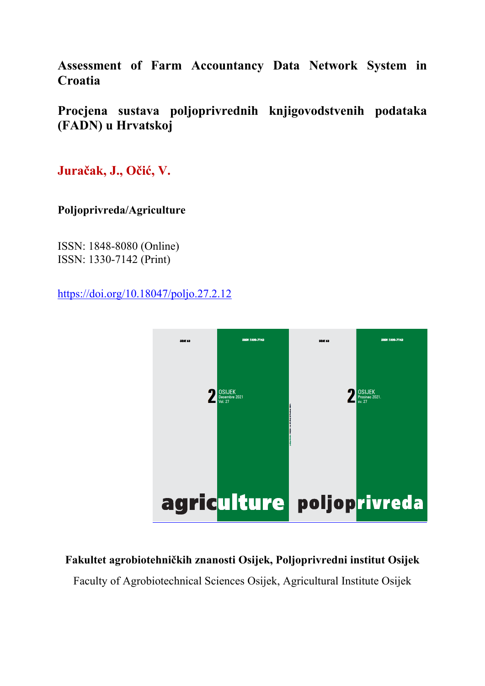**Assessment of Farm Accountancy Data Network System in Croatia** 

**Procjena sustava poljoprivrednih knjigovodstvenih podataka (FADN) u Hrvatskoj** 

**Juračak, J., Očić, V.**

**Poljoprivreda/Agriculture** 

ISSN: 1848-8080 (Online) ISSN: 1330-7142 (Print)

https://doi.org/10.18047/poljo.27.2.12



# **Fakultet agrobiotehničkih znanosti Osijek, Poljoprivredni institut Osijek**

Faculty of Agrobiotechnical Sciences Osijek, Agricultural Institute Osijek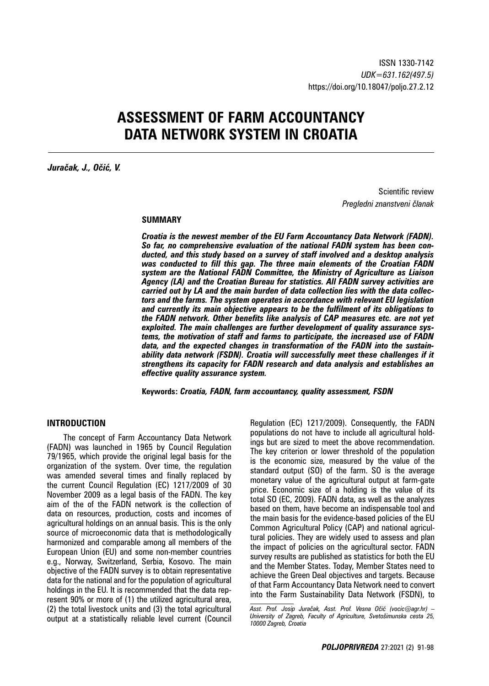# **ASSESSMENT OF FARM ACCOUNTANCY DATA NETWORK SYSTEM IN CROATIA**

*Juračak, J., Očić, V.* 

Scientific review *Pregledni znanstveni članak*

#### **SUMMARY**

*Croatia is the newest member of the EU Farm Accountancy Data Network (FADN). So far, no comprehensive evaluation of the national FADN system has been conducted, and this study based on a survey of staff involved and a desktop analysis was conducted to fill this gap. The three main elements of the Croatian FADN system are the National FADN Committee, the Ministry of Agriculture as Liaison Agency (LA) and the Croatian Bureau for statistics. All FADN survey activities are carried out by LA and the main burden of data collection lies with the data collectors and the farms. The system operates in accordance with relevant EU legislation and currently its main objective appears to be the fulfilment of its obligations to the FADN network. Other benefits like analysis of CAP measures etc. are not yet exploited. The main challenges are further development of quality assurance systems, the motivation of staff and farms to participate, the increased use of FADN data, and the expected changes in transformation of the FADN into the sustainability data network (FSDN). Croatia will successfully meet these challenges if it strengthens its capacity for FADN research and data analysis and establishes an effective quality assurance system.*

**Keywords:** *Croatia, FADN, farm accountancy, quality assessment, FSDN*

#### **INTRODUCTION**

The concept of Farm Accountancy Data Network (FADN) was launched in 1965 by Council Regulation 79/1965, which provide the original legal basis for the organization of the system. Over time, the regulation was amended several times and finally replaced by the current Council Regulation (EC) 1217/2009 of 30 November 2009 as a legal basis of the FADN. The key aim of the of the FADN network is the collection of data on resources, production, costs and incomes of agricultural holdings on an annual basis. This is the only source of microeconomic data that is methodologically harmonized and comparable among all members of the European Union (EU) and some non-member countries e.g., Norway, Switzerland, Serbia, Kosovo. The main objective of the FADN survey is to obtain representative data for the national and for the population of agricultural holdings in the EU. It is recommended that the data represent 90% or more of (1) the utilized agricultural area, (2) the total livestock units and (3) the total agricultural output at a statistically reliable level current (Council

Regulation (EC) 1217/2009). Consequently, the FADN populations do not have to include all agricultural holdings but are sized to meet the above recommendation. The key criterion or lower threshold of the population is the economic size, measured by the value of the standard output (SO) of the farm. SO is the average monetary value of the agricultural output at farm-gate price. Economic size of a holding is the value of its total SO (EC, 2009). FADN data, as well as the analyzes based on them, have become an indispensable tool and the main basis for the evidence-based policies of the EU Common Agricultural Policy (CAP) and national agricultural policies. They are widely used to assess and plan the impact of policies on the agricultural sector. FADN survey results are published as statistics for both the EU and the Member States. Today, Member States need to achieve the Green Deal objectives and targets. Because of that Farm Accountancy Data Network need to convert into the Farm Sustainability Data Network (FSDN), to

*Asst. Prof. Josip Juračak, Asst. Prof. Vesna Očić (vocic@agr.hr) – University of Zagreb, Faculty of Agriculture, Svetošimunska cesta 25, 10000 Zagreb, Croatia*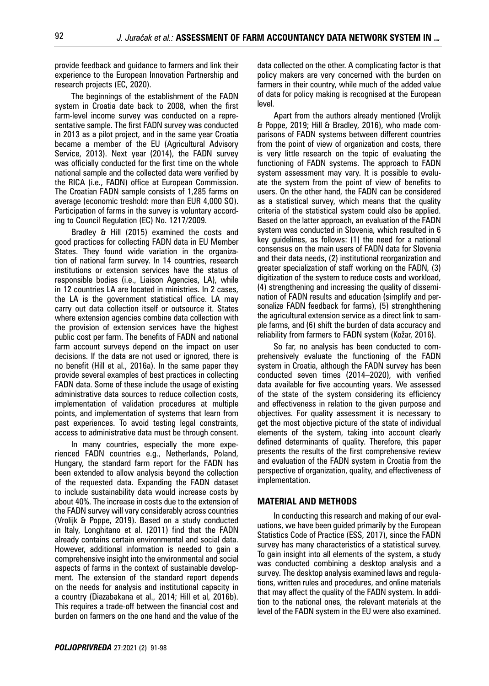provide feedback and guidance to farmers and link their experience to the European Innovation Partnership and research projects (EC, 2020).

The beginnings of the establishment of the FADN system in Croatia date back to 2008, when the first farm-level income survey was conducted on a representative sample. The first FADN survey was conducted in 2013 as a pilot project, and in the same year Croatia became a member of the EU (Agricultural Advisory Service, 2013). Next year (2014), the FADN survey was officially conducted for the first time on the whole national sample and the collected data were verified by the RICA (i.e., FADN) office at European Commission. The Croatian FADN sample consists of 1,285 farms on average (economic treshold: more than EUR 4,000 SO). Participation of farms in the survey is voluntary according to Council Regulation (EC) No. 1217/2009.

Bradley & Hill (2015) examined the costs and good practices for collecting FADN data in EU Member States. They found wide variation in the organization of national farm survey. In 14 countries, research institutions or extension services have the status of responsible bodies (i.e., Liaison Agencies, LA), while in 12 countries LA are located in ministries. In 2 cases, the LA is the government statistical office. LA may carry out data collection itself or outsource it. States where extension agencies combine data collection with the provision of extension services have the highest public cost per farm. The benefits of FADN and national farm account surveys depend on the impact on user decisions. If the data are not used or ignored, there is no benefit (Hill et al., 2016a). In the same paper they provide several examples of best practices in collecting FADN data. Some of these include the usage of existing administrative data sources to reduce collection costs, implementation of validation procedures at multiple points, and implementation of systems that learn from past experiences. To avoid testing legal constraints, access to administrative data must be through consent.

In many countries, especially the more experienced FADN countries e.g., Netherlands, Poland, Hungary, the standard farm report for the FADN has been extended to allow analysis beyond the collection of the requested data. Expanding the FADN dataset to include sustainability data would increase costs by about 40%. The increase in costs due to the extension of the FADN survey will vary considerably across countries (Vrolijk & Poppe, 2019). Based on a study conducted in Italy, Longhitano et al. (2011) find that the FADN already contains certain environmental and social data. However, additional information is needed to gain a comprehensive insight into the environmental and social aspects of farms in the context of sustainable development. The extension of the standard report depends on the needs for analysis and institutional capacity in a country (Diazabakana et al., 2014; Hill et al, 2016b). This requires a trade-off between the financial cost and burden on farmers on the one hand and the value of the

data collected on the other. A complicating factor is that policy makers are very concerned with the burden on farmers in their country, while much of the added value of data for policy making is recognised at the European level.

Apart from the authors already mentioned (Vrolijk & Poppe, 2019; Hill & Bradley, 2016), who made comparisons of FADN systems between different countries from the point of view of organization and costs, there is very little research on the topic of evaluating the functioning of FADN systems. The approach to FADN system assessment may vary. It is possible to evaluate the system from the point of view of benefits to users. On the other hand, the FADN can be considered as a statistical survey, which means that the quality criteria of the statistical system could also be applied. Based on the latter approach, an evaluation of the FADN system was conducted in Slovenia, which resulted in 6 key guidelines, as follows: (1) the need for a national consensus on the main users of FADN data for Slovenia and their data needs, (2) institutional reorganization and greater specialization of staff working on the FADN, (3) digitization of the system to reduce costs and workload, (4) strengthening and increasing the quality of dissemination of FADN results and education (simplify and personalize FADN feedback for farms), (5) strenghthening the agricultural extension service as a direct link to sample farms, and (6) shift the burden of data accuracy and reliability from farmers to FADN system (Kožar, 2016).

So far, no analysis has been conducted to comprehensively evaluate the functioning of the FADN system in Croatia, although the FADN survey has been conducted seven times (2014–2020), with verified data available for five accounting years. We assessed of the state of the system considering its efficiency and effectiveness in relation to the given purpose and objectives. For quality assessment it is necessary to get the most objective picture of the state of individual elements of the system, taking into account clearly defined determinants of quality. Therefore, this paper presents the results of the first comprehensive review and evaluation of the FADN system in Croatia from the perspective of organization, quality, and effectiveness of implementation.

### **MATERIAL AND METHODS**

In conducting this research and making of our evaluations, we have been guided primarily by the European Statistics Code of Practice (ESS, 2017), since the FADN survey has many characteristics of a statistical survey. To gain insight into all elements of the system, a study was conducted combining a desktop analysis and a survey. The desktop analysis examined laws and regulations, written rules and procedures, and online materials that may affect the quality of the FADN system. In addition to the national ones, the relevant materials at the level of the FADN system in the EU were also examined.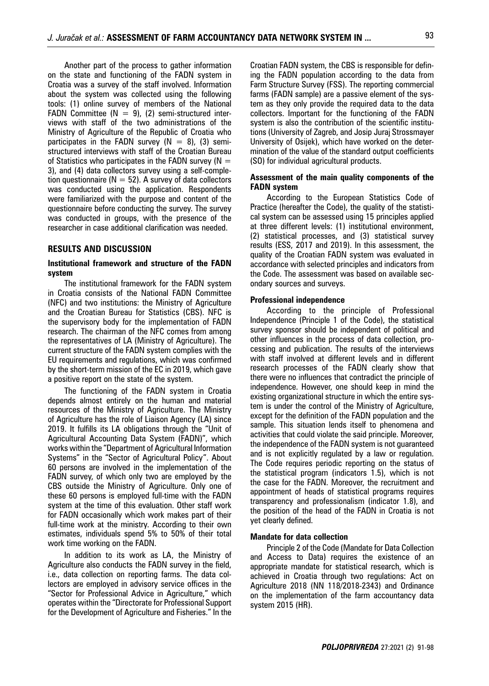Another part of the process to gather information on the state and functioning of the FADN system in Croatia was a survey of the staff involved. Information about the system was collected using the following tools: (1) online survey of members of the National FADN Committee ( $N = 9$ ), (2) semi-structured interviews with staff of the two administrations of the Ministry of Agriculture of the Republic of Croatia who participates in the FADN survey  $(N = 8)$ , (3) semistructured interviews with staff of the Croatian Bureau of Statistics who participates in the FADN survey ( $N =$ 3), and (4) data collectors survey using a self-completion questionnaire ( $N = 52$ ). A survey of data collectors was conducted using the application. Respondents were familiarized with the purpose and content of the questionnaire before conducting the survey. The survey was conducted in groups, with the presence of the researcher in case additional clarification was needed.

#### **RESULTS AND DISCUSSION**

#### **Institutional framework and structure of the FADN system**

The institutional framework for the FADN system in Croatia consists of the National FADN Committee (NFC) and two institutions: the Ministry of Agriculture and the Croatian Bureau for Statistics (CBS). NFC is the supervisory body for the implementation of FADN research. The chairman of the NFC comes from among the representatives of LA (Ministry of Agriculture). The current structure of the FADN system complies with the EU requirements and regulations, which was confirmed by the short-term mission of the EC in 2019, which gave a positive report on the state of the system.

The functioning of the FADN system in Croatia depends almost entirely on the human and material resources of the Ministry of Agriculture. The Ministry of Agriculture has the role of Liaison Agency (LA) since 2019. It fulfills its LA obligations through the "Unit of Agricultural Accounting Data System (FADN)", which works within the "Department of Agricultural Information Systems" in the "Sector of Agricultural Policy". About 60 persons are involved in the implementation of the FADN survey, of which only two are employed by the CBS outside the Ministry of Agriculture. Only one of these 60 persons is employed full-time with the FADN system at the time of this evaluation. Other staff work for FADN occasionally which work makes part of their full-time work at the ministry. According to their own estimates, individuals spend 5% to 50% of their total work time working on the FADN.

In addition to its work as LA, the Ministry of Agriculture also conducts the FADN survey in the field, i.e., data collection on reporting farms. The data collectors are employed in advisory service offices in the "Sector for Professional Advice in Agriculture," which operates within the "Directorate for Professional Support for the Development of Agriculture and Fisheries." In the

Croatian FADN system, the CBS is responsible for defining the FADN population according to the data from Farm Structure Survey (FSS). The reporting commercial farms (FADN sample) are a passive element of the system as they only provide the required data to the data collectors. Important for the functioning of the FADN system is also the contribution of the scientific institutions (University of Zagreb, and Josip Juraj Strossmayer University of Osijek), which have worked on the determination of the value of the standard output coefficients (SO) for individual agricultural products.

#### **Assessment of the main quality components of the FADN system**

According to the European Statistics Code of Practice (hereafter the Code), the quality of the statistical system can be assessed using 15 principles applied at three different levels: (1) institutional environment, (2) statistical processes, and (3) statistical survey results (ESS, 2017 and 2019). In this assessment, the quality of the Croatian FADN system was evaluated in accordance with selected principles and indicators from the Code. The assessment was based on available secondary sources and surveys.

#### **Professional independence**

According to the principle of Professional Independence (Principle 1 of the Code), the statistical survey sponsor should be independent of political and other influences in the process of data collection, processing and publication. The results of the interviews with staff involved at different levels and in different research processes of the FADN clearly show that there were no influences that contradict the principle of independence. However, one should keep in mind the existing organizational structure in which the entire system is under the control of the Ministry of Agriculture, except for the definition of the FADN population and the sample. This situation lends itself to phenomena and activities that could violate the said principle. Moreover, the independence of the FADN system is not guaranteed and is not explicitly regulated by a law or regulation. The Code requires periodic reporting on the status of the statistical program (indicators 1.5), which is not the case for the FADN. Moreover, the recruitment and appointment of heads of statistical programs requires transparency and professionalism (indicator 1.8), and the position of the head of the FADN in Croatia is not yet clearly defined.

#### **Mandate for data collection**

Principle 2 of the Code (Mandate for Data Collection and Access to Data) requires the existence of an appropriate mandate for statistical research, which is achieved in Croatia through two regulations: Act on Agriculture 2018 (NN 118/2018-2343) and Ordinance on the implementation of the farm accountancy data system 2015 (HR).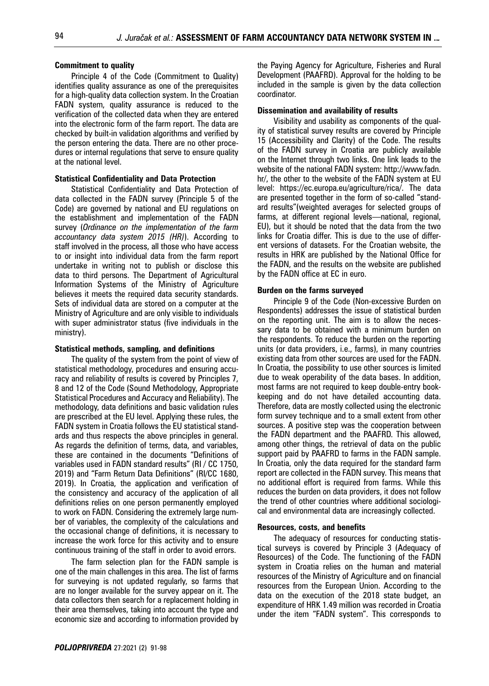#### **Commitment to quality**

Principle 4 of the Code (Commitment to Quality) identifies quality assurance as one of the prerequisites for a high-quality data collection system. In the Croatian FADN system, quality assurance is reduced to the verification of the collected data when they are entered into the electronic form of the farm report. The data are checked by built-in validation algorithms and verified by the person entering the data. There are no other procedures or internal regulations that serve to ensure quality at the national level.

#### **Statistical Confidentiality and Data Protection**

Statistical Confidentiality and Data Protection of data collected in the FADN survey (Principle 5 of the Code) are governed by national and EU regulations on the establishment and implementation of the FADN survey (*Ordinance on the implementation of the farm accountancy data system 2015 (HR)*). According to staff involved in the process, all those who have access to or insight into individual data from the farm report undertake in writing not to publish or disclose this data to third persons. The Department of Agricultural Information Systems of the Ministry of Agriculture believes it meets the required data security standards. Sets of individual data are stored on a computer at the Ministry of Agriculture and are only visible to individuals with super administrator status (five individuals in the ministry).

#### **Statistical methods, sampling, and definitions**

The quality of the system from the point of view of statistical methodology, procedures and ensuring accuracy and reliability of results is covered by Principles 7, 8 and 12 of the Code (Sound Methodology, Appropriate Statistical Procedures and Accuracy and Reliability). The methodology, data definitions and basic validation rules are prescribed at the EU level. Applying these rules, the FADN system in Croatia follows the EU statistical standards and thus respects the above principles in general. As regards the definition of terms, data, and variables, these are contained in the documents "Definitions of variables used in FADN standard results" (RI / CC 1750, 2019) and "Farm Return Data Definitions" (RI/CC 1680, 2019). In Croatia, the application and verification of the consistency and accuracy of the application of all definitions relies on one person permanently employed to work on FADN. Considering the extremely large number of variables, the complexity of the calculations and the occasional change of definitions, it is necessary to increase the work force for this activity and to ensure continuous training of the staff in order to avoid errors.

The farm selection plan for the FADN sample is one of the main challenges in this area. The list of farms for surveying is not updated regularly, so farms that are no longer available for the survey appear on it. The data collectors then search for a replacement holding in their area themselves, taking into account the type and economic size and according to information provided by the Paying Agency for Agriculture, Fisheries and Rural Development (PAAFRD). Approval for the holding to be included in the sample is given by the data collection coordinator.

#### **Dissemination and availability of results**

Visibility and usability as components of the quality of statistical survey results are covered by Principle 15 (Accessibility and Clarity) of the Code. The results of the FADN survey in Croatia are publicly available on the Internet through two links. One link leads to the website of the national FADN system: http://www.fadn. hr/, the other to the website of the FADN system at EU level: https://ec.europa.eu/agriculture/rica/. The data are presented together in the form of so-called "standard results"(weighted averages for selected groups of farms, at different regional levels—national, regional, EU), but it should be noted that the data from the two links for Croatia differ. This is due to the use of different versions of datasets. For the Croatian website, the results in HRK are published by the National Office for the FADN, and the results on the website are published by the FADN office at EC in euro.

#### **Burden on the farms surveyed**

Principle 9 of the Code (Non-excessive Burden on Respondents) addresses the issue of statistical burden on the reporting unit. The aim is to allow the necessary data to be obtained with a minimum burden on the respondents. To reduce the burden on the reporting units (or data providers, i.e., farms), in many countries existing data from other sources are used for the FADN. In Croatia, the possibility to use other sources is limited due to weak operability of the data bases. In addition, most farms are not required to keep double-entry bookkeeping and do not have detailed accounting data. Therefore, data are mostly collected using the electronic form survey technique and to a small extent from other sources. A positive step was the cooperation between the FADN department and the PAAFRD. This allowed, among other things, the retrieval of data on the public support paid by PAAFRD to farms in the FADN sample. In Croatia, only the data required for the standard farm report are collected in the FADN survey. This means that no additional effort is required from farms. While this reduces the burden on data providers, it does not follow the trend of other countries where additional sociological and environmental data are increasingly collected.

#### **Resources, costs, and benefits**

The adequacy of resources for conducting statistical surveys is covered by Principle 3 (Adequacy of Resources) of the Code. The functioning of the FADN system in Croatia relies on the human and material resources of the Ministry of Agriculture and on financial resources from the European Union. According to the data on the execution of the 2018 state budget, an expenditure of HRK 1.49 million was recorded in Croatia under the item "FADN system". This corresponds to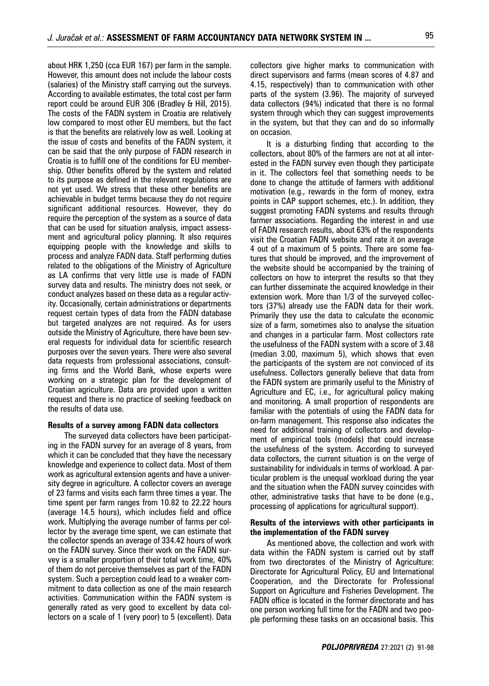about HRK 1,250 (cca EUR 167) per farm in the sample. However, this amount does not include the labour costs (salaries) of the Ministry staff carrying out the surveys. According to available estimates, the total cost per farm report could be around EUR 306 (Bradley & Hill, 2015). The costs of the FADN system in Croatia are relatively low compared to most other EU members, but the fact is that the benefits are relatively low as well. Looking at the issue of costs and benefits of the FADN system, it can be said that the only purpose of FADN research in Croatia is to fulfill one of the conditions for EU membership. Other benefits offered by the system and related to its purpose as defined in the relevant regulations are not yet used. We stress that these other benefits are achievable in budget terms because they do not require significant additional resources. However, they do require the perception of the system as a source of data that can be used for situation analysis, impact assessment and agricultural policy planning. It also requires equipping people with the knowledge and skills to process and analyze FADN data. Staff performing duties related to the obligations of the Ministry of Agriculture as LA confirms that very little use is made of FADN survey data and results. The ministry does not seek, or conduct analyzes based on these data as a regular activity. Occasionally, certain administrations or departments request certain types of data from the FADN database but targeted analyzes are not required. As for users outside the Ministry of Agriculture, there have been several requests for individual data for scientific research purposes over the seven years. There were also several data requests from professional associations, consulting firms and the World Bank, whose experts were working on a strategic plan for the development of Croatian agriculture. Data are provided upon a written request and there is no practice of seeking feedback on

#### **Results of a survey among FADN data collectors**

the results of data use.

The surveyed data collectors have been participating in the FADN survey for an average of 8 years, from which it can be concluded that they have the necessary knowledge and experience to collect data. Most of them work as agricultural extension agents and have a university degree in agriculture. A collector covers an average of 23 farms and visits each farm three times a year. The time spent per farm ranges from 10.82 to 22.22 hours (average 14.5 hours), which includes field and office work. Multiplying the average number of farms per collector by the average time spent, we can estimate that the collector spends an average of 334.42 hours of work on the FADN survey. Since their work on the FADN survey is a smaller proportion of their total work time, 40% of them do not perceive themselves as part of the FADN system. Such a perception could lead to a weaker commitment to data collection as one of the main research activities. Communication within the FADN system is generally rated as very good to excellent by data collectors on a scale of 1 (very poor) to 5 (excellent). Data

collectors give higher marks to communication with direct supervisors and farms (mean scores of 4.87 and 4.15, respectively) than to communication with other parts of the system (3.96). The majority of surveyed data collectors (94%) indicated that there is no formal system through which they can suggest improvements in the system, but that they can and do so informally on occasion.

It is a disturbing finding that according to the collectors, about 80% of the farmers are not at all interested in the FADN survey even though they participate in it. The collectors feel that something needs to be done to change the attitude of farmers with additional motivation (e.g., rewards in the form of money, extra points in CAP support schemes, etc.). In addition, they suggest promoting FADN systems and results through farmer associations. Regarding the interest in and use of FADN research results, about 63% of the respondents visit the Croatian FADN website and rate it on average 4 out of a maximum of 5 points. There are some features that should be improved, and the improvement of the website should be accompanied by the training of collectors on how to interpret the results so that they can further disseminate the acquired knowledge in their extension work. More than 1/3 of the surveyed collectors (37%) already use the FADN data for their work. Primarily they use the data to calculate the economic size of a farm, sometimes also to analyse the situation and changes in a particular farm. Most collectors rate the usefulness of the FADN system with a score of 3.48 (median 3.00, maximum 5), which shows that even the participants of the system are not convinced of its usefulness. Collectors generally believe that data from the FADN system are primarily useful to the Ministry of Agriculture and EC, i.e., for agricultural policy making and monitoring. A small proportion of respondents are familiar with the potentials of using the FADN data for on-farm management. This response also indicates the need for additional training of collectors and development of empirical tools (models) that could increase the usefulness of the system. According to surveyed data collectors, the current situation is on the verge of sustainability for individuals in terms of workload. A particular problem is the unequal workload during the year and the situation when the FADN survey coincides with other, administrative tasks that have to be done (e.g., processing of applications for agricultural support).

#### **Results of the interviews with other participants in the implementation of the FADN survey**

As mentioned above, the collection and work with data within the FADN system is carried out by staff from two directorates of the Ministry of Agriculture: Directorate for Agricultural Policy, EU and International Cooperation, and the Directorate for Professional Support on Agriculture and Fisheries Development. The FADN office is located in the former directorate and has one person working full time for the FADN and two people performing these tasks on an occasional basis. This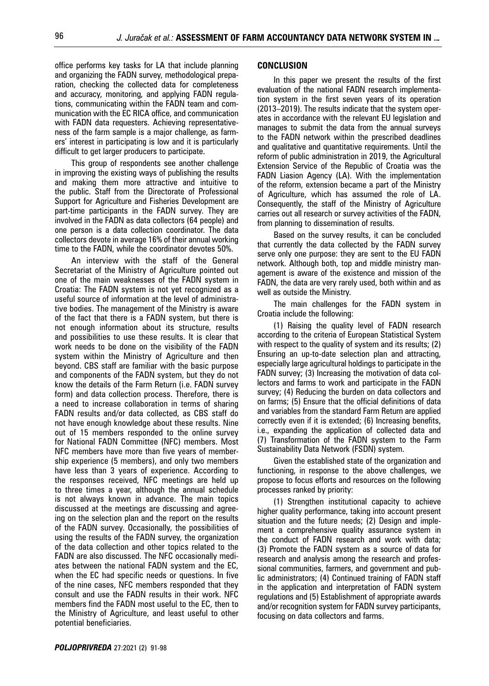office performs key tasks for LA that include planning and organizing the FADN survey, methodological preparation, checking the collected data for completeness and accuracy, monitoring, and applying FADN regulations, communicating within the FADN team and communication with the EC RICA office, and communication with FADN data requesters. Achieving representativeness of the farm sample is a major challenge, as farmers' interest in participating is low and it is particularly difficult to get larger producers to participate.

This group of respondents see another challenge in improving the existing ways of publishing the results and making them more attractive and intuitive to the public. Staff from the Directorate of Professional Support for Agriculture and Fisheries Development are part-time participants in the FADN survey. They are involved in the FADN as data collectors (64 people) and one person is a data collection coordinator. The data collectors devote in average 16% of their annual working time to the FADN, while the coordinator devotes 50%.

An interview with the staff of the General Secretariat of the Ministry of Agriculture pointed out one of the main weaknesses of the FADN system in Croatia: The FADN system is not yet recognized as a useful source of information at the level of administrative bodies. The management of the Ministry is aware of the fact that there is a FADN system, but there is not enough information about its structure, results and possibilities to use these results. It is clear that work needs to be done on the visibility of the FADN system within the Ministry of Agriculture and then beyond. CBS staff are familiar with the basic purpose and components of the FADN system, but they do not know the details of the Farm Return (i.e. FADN survey form) and data collection process. Therefore, there is a need to increase collaboration in terms of sharing FADN results and/or data collected, as CBS staff do not have enough knowledge about these results. Nine out of 15 members responded to the online survey for National FADN Committee (NFC) members. Most NFC members have more than five years of membership experience (5 members), and only two members have less than 3 years of experience. According to the responses received, NFC meetings are held up to three times a year, although the annual schedule is not always known in advance. The main topics discussed at the meetings are discussing and agreeing on the selection plan and the report on the results of the FADN survey. Occasionally, the possibilities of using the results of the FADN survey, the organization of the data collection and other topics related to the FADN are also discussed. The NFC occasionally mediates between the national FADN system and the EC, when the EC had specific needs or questions. In five of the nine cases, NFC members responded that they consult and use the FADN results in their work. NFC members find the FADN most useful to the EC, then to the Ministry of Agriculture, and least useful to other potential beneficiaries.

#### **CONCLUSION**

In this paper we present the results of the first evaluation of the national FADN research implementation system in the first seven years of its operation (2013–2019). The results indicate that the system operates in accordance with the relevant EU legislation and manages to submit the data from the annual surveys to the FADN network within the prescribed deadlines and qualitative and quantitative requirements. Until the reform of public administration in 2019, the Agricultural Extension Service of the Republic of Croatia was the FADN Liasion Agency (LA). With the implementation of the reform, extension became a part of the Ministry of Agriculture, which has assumed the role of LA. Consequently, the staff of the Ministry of Agriculture carries out all research or survey activities of the FADN, from planning to dissemination of results.

Based on the survey results, it can be concluded that currently the data collected by the FADN survey serve only one purpose: they are sent to the EU FADN network. Although both, top and middle ministry management is aware of the existence and mission of the FADN, the data are very rarely used, both within and as well as outside the Ministry.

The main challenges for the FADN system in Croatia include the following:

(1) Raising the quality level of FADN research according to the criteria of European Statistical System with respect to the quality of system and its results; (2) Ensuring an up-to-date selection plan and attracting, especially large agricultural holdings to participate in the FADN survey; (3) Increasing the motivation of data collectors and farms to work and participate in the FADN survey; (4) Reducing the burden on data collectors and on farms; (5) Ensure that the official definitions of data and variables from the standard Farm Return are applied correctly even if it is extended; (6) Increasing benefits, i.e., expanding the application of collected data and (7) Transformation of the FADN system to the Farm Sustainability Data Network (FSDN) system.

Given the established state of the organization and functioning, in response to the above challenges, we propose to focus efforts and resources on the following processes ranked by priority:

(1) Strengthen institutional capacity to achieve higher quality performance, taking into account present situation and the future needs; (2) Design and implement a comprehensive quality assurance system in the conduct of FADN research and work with data; (3) Promote the FADN system as a source of data for research and analysis among the research and professional communities, farmers, and government and public administrators; (4) Continued training of FADN staff in the application and interpretation of FADN system regulations and (5) Establishment of appropriate awards and/or recognition system for FADN survey participants, focusing on data collectors and farms.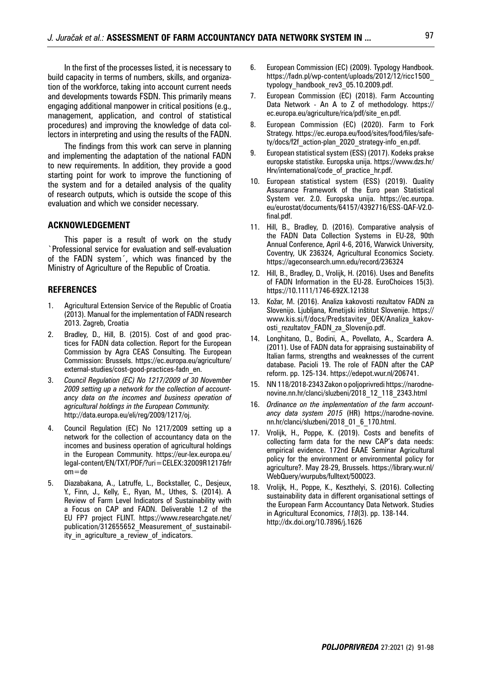In the first of the processes listed, it is necessary to build capacity in terms of numbers, skills, and organization of the workforce, taking into account current needs and developments towards FSDN. This primarily means engaging additional manpower in critical positions (e.g., management, application, and control of statistical procedures) and improving the knowledge of data collectors in interpreting and using the results of the FADN.

The findings from this work can serve in planning and implementing the adaptation of the national FADN to new requirements. In addition, they provide a good starting point for work to improve the functioning of the system and for a detailed analysis of the quality of research outputs, which is outside the scope of this evaluation and which we consider necessary.

#### **ACKNOWLEDGEMENT**

This paper is a result of work on the study `Professional service for evaluation and self-evaluation of the FADN system´, which was financed by the Ministry of Agriculture of the Republic of Croatia.

#### **REFERENCES**

- 1. Agricultural Extension Service of the Republic of Croatia (2013). Manual for the implementation of FADN research 2013. Zagreb, Croatia
- 2. Bradley, D., Hill, B. (2015). Cost of and good practices for FADN data collection. Report for the European Commission by Agra CEAS Consulting. The European Commission: Brussels. https://ec.europa.eu/agriculture/ external-studies/cost-good-practices-fadn\_en.
- 3. *Council Regulation (EC) No 1217/2009 of 30 November 2009 setting up a network for the collection of accountancy data on the incomes and business operation of agricultural holdings in the European Community.*  http://data.europa.eu/eli/reg/2009/1217/oj.
- 4. Council Regulation (EC) No 1217/2009 setting up a network for the collection of accountancy data on the incomes and business operation of agricultural holdings in the European Community. https://eur-lex.europa.eu/ legal-content/EN/TXT/PDF/?uri=CELEX:32009R1217&fr om=de
- 5. Diazabakana, A., Latruffe, L., Bockstaller, C., Desjeux, Y., Finn, J., Kelly, E., Ryan, M., Uthes, S. (2014). A Review of Farm Level Indicators of Sustainability with a Focus on CAP and FADN. Deliverable 1.2 of the EU FP7 project FLINT. https://www.researchgate.net/ publication/312655652\_Measurement\_of\_sustainability\_in\_agriculture\_a\_review\_of\_indicators.
- 6. European Commission (EC) (2009). Typology Handbook. https://fadn.pl/wp-content/uploads/2012/12/ricc1500\_ typology\_handbook\_rev3\_05.10.2009.pdf.
- 7. European Commission (EC) (2018). Farm Accounting Data Network - An A to Z of methodology. https:// ec.europa.eu/agriculture/rica/pdf/site\_en.pdf.
- 8. European Commission (EC) (2020). Farm to Fork Strategy. https://ec.europa.eu/food/sites/food/files/safety/docs/f2f\_action-plan\_2020\_strategy-info\_en.pdf.
- 9. European statistical system (ESS) (2017). Kodeks prakse europske statistike. Europska unija. https://www.dzs.hr/ Hrv/international/code\_of\_practice\_hr.pdf.
- 10. European statistical system (ESS) (2019). Quality Assurance Framework of the Euro pean Statistical System ver. 2.0. Europska unija. https://ec.europa. eu/eurostat/documents/64157/4392716/ESS-QAF-V2.0 final.pdf.
- 11. Hill, B., Bradley, D. (2016). Comparative analysis of the FADN Data Collection Systems in EU-28, 90th Annual Conference, April 4-6, 2016, Warwick University, Coventry, UK 236324, Agricultural Economics Society. https://ageconsearch.umn.edu/record/236324
- 12. Hill, B., Bradley, D., Vrolijk, H. (2016). Uses and Benefits of FADN Information in the EU-28. EuroChoices 15(3). https://10.1111/1746-692X.12138
- 13. Kožar, M. (2016). Analiza kakovosti rezultatov FADN za Slovenijo. Ljubljana, Kmetijski inštitut Slovenije. https:// www.kis.si/f/docs/Predstavitev\_OEK/Analiza\_kakovosti\_rezultatov\_FADN\_za\_Slovenijo.pdf.
- 14. Longhitano, D., Bodini, A., Povellato, A., Scardera A. (2011). Use of FADN data for appraising sustainability of Italian farms, strengths and weaknesses of the current database. Pacioli 19. The role of FADN after the CAP reform. pp. 125-134. https://edepot.wur.nl/206741.
- 15. NN 118/2018-2343 Zakon o poljoprivredi https://narodnenovine.nn.hr/clanci/sluzbeni/2018\_12\_118\_2343.html
- 16. *Ordinance on the implementation of the farm accountancy data system 2015* (HR) https://narodne-novine. nn.hr/clanci/sluzbeni/2018\_01\_6\_170.html.
- 17. Vrolijk, H., Poppe, K. (2019). Costs and benefits of collecting farm data for the new CAP's data needs: empirical evidence. 172nd EAAE Seminar Agricultural policy for the environment or environmental policy for agriculture?. May 28-29, Brussels. https://library.wur.nl/ WebQuery/wurpubs/fulltext/500023.
- 18. Vrolijk, H., Poppe, K., Keszthelyi, S. (2016). Collecting sustainability data in different organisational settings of the European Farm Accountancy Data Network. Studies in Agricultural Economics, *118*(3). pp. 138-144. http://dx.doi.org/10.7896/j.1626